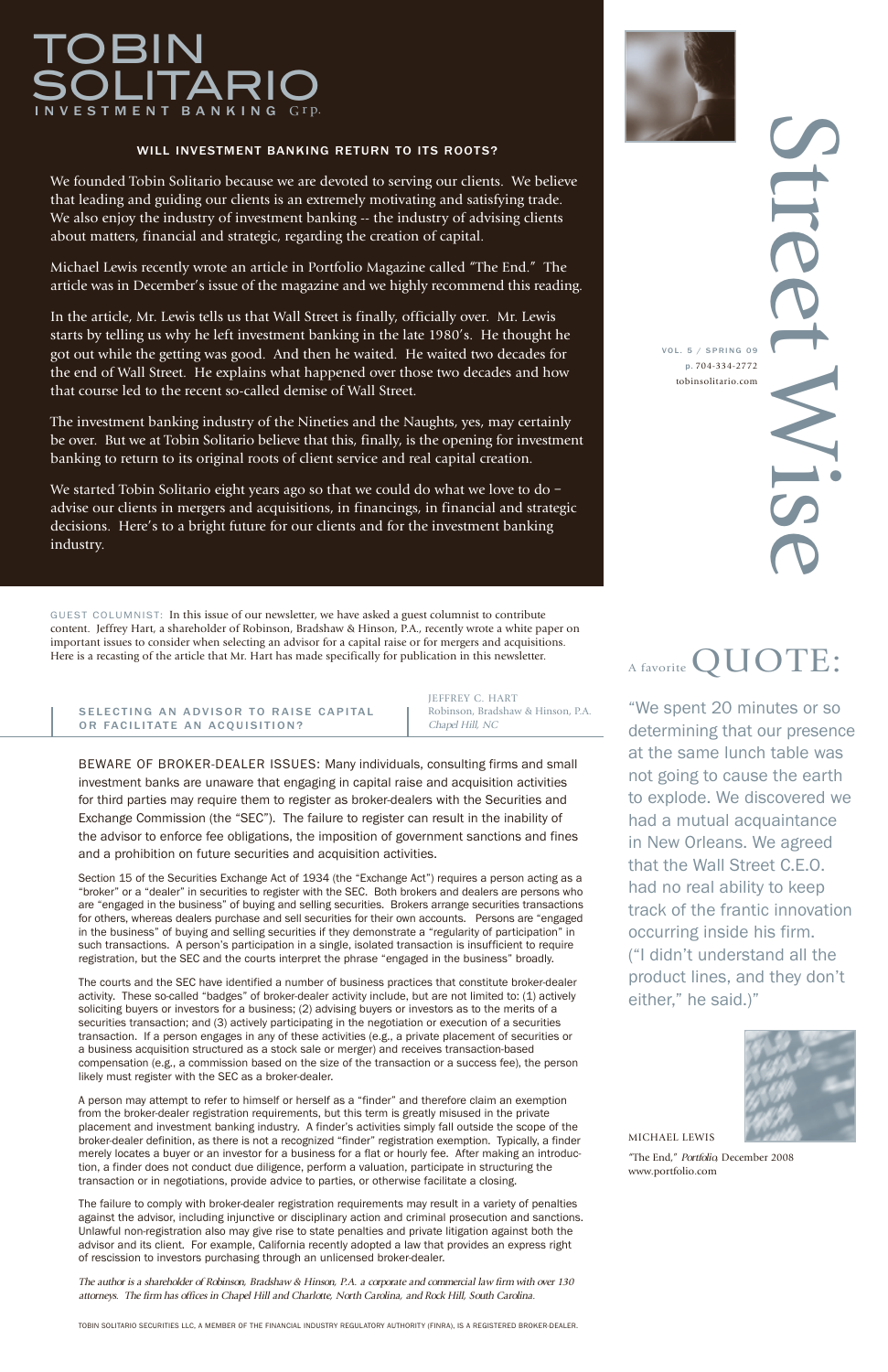"We spent 20 minutes or so determining that our presence at the same lunch table was not going to cause the earth to explode. We discovered we had a mutual acquaintance in New Orleans. We agreed that the Wall Street C.E.O. had no real ability to keep track of the frantic innovation occurring inside his firm. ("I didn't understand all the product lines, and they don't either," he said.)"

# TOBIN TAR VESTMENT BANKING Grp.

S  $\overline{\phantom{0}}$  $\overline{\phantom{a}}$  $\Theta$ **C**  $\overline{\phantom{0}}$ W i VOL . 5 / SPRING 09 p. 704-334-2772 tobinsolitario.com

S

**C** 

# A favorite  $\mathbf{QUOTE}$ :

MICHAEL LEWIS

"The End," Portfolio, December 2008 www.portfolio.com

# WILL INVESTMENT BANKING RETURN TO ITS ROOTS?

We founded Tobin Solitario because we are devoted to serving our clients. We believe that leading and guiding our clients is an extremely motivating and satisfying trade. We also enjoy the industry of investment banking -- the industry of advising clients about matters, financial and strategic, regarding the creation of capital.

We started Tobin Solitario eight years ago so that we could do what we love to do advise our clients in mergers and acquisitions, in financings, in financial and strategic decisions. Here's to a bright future for our clients and for the investment banking industry.

Michael Lewis recently wrote an article in Portfolio Magazine called "The End." The article was in December's issue of the magazine and we highly recommend this reading.

In the article, Mr. Lewis tells us that Wall Street is finally, officially over. Mr. Lewis starts by telling us why he left investment banking in the late 1980's. He thought he got out while the getting was good. And then he waited. He waited two decades for the end of Wall Street. He explains what happened over those two decades and how that course led to the recent so-called demise of Wall Street.

The investment banking industry of the Nineties and the Naughts, yes, may certainly be over. But we at Tobin Solitario believe that this, finally, is the opening for investment banking to return to its original roots of client service and real capital creation.

GUEST COLUMNIST: In this issue of our newsletter, we have asked a guest columnist to contribute content. Jeffrey Hart, a shareholder of Robinson, Bradshaw & Hinson, P.A., recently wrote a white paper on important issues to consider when selecting an advisor for a capital raise or for mergers and acquisitions. Here is a recasting of the article that Mr. Hart has made specifically for publication in this newsletter.

## SELECTING AN ADVISOR TO RAISE CAPITAL OR FACILITATE AN ACQUISITION?

BEWARE OF BROKER-DEALER ISSUES: Many individuals, consulting firms and small investment banks are unaware that engaging in capital raise and acquisition activities for third parties may require them to register as broker-dealers with the Securities and Exchange Commission (the "SEC"). The failure to register can result in the inability of the advisor to enforce fee obligations, the imposition of government sanctions and fines and a prohibition on future securities and acquisition activities.

Section 15 of the Securities Exchange Act of 1934 (the "Exchange Act") requires a person acting as a "broker" or a "dealer" in securities to register with the SEC. Both brokers and dealers are persons who are "engaged in the business" of buying and selling securities. Brokers arrange securities transactions for others, whereas dealers purchase and sell securities for their own accounts. Persons are "engaged in the business" of buying and selling securities if they demonstrate a "regularity of participation" in such transactions. A person's participation in a single, isolated transaction is insufficient to require registration, but the SEC and the courts interpret the phrase "engaged in the business" broadly.

The courts and the SEC have identified a number of business practices that constitute broker-dealer activity. These so-called "badges" of broker-dealer activity include, but are not limited to: (1) actively soliciting buyers or investors for a business; (2) advising buyers or investors as to the merits of a securities transaction; and (3) actively participating in the negotiation or execution of a securities transaction. If a person engages in any of these activities (e.g., a private placement of securities or a business acquisition structured as a stock sale or merger) and receives transaction-based compensation (e.g., a commission based on the size of the transaction or a success fee), the person likely must register with the SEC as a broker-dealer.

A person may attempt to refer to himself or herself as a "finder" and therefore claim an exemption from the broker-dealer registration requirements, but this term is greatly misused in the private placement and investment banking industry. A finder's activities simply fall outside the scope of the broker-dealer definition, as there is not a recognized "finder" registration exemption. Typically, a finder merely locates a buyer or an investor for a business for a flat or hourly fee. After making an introduction, a finder does not conduct due diligence, perform a valuation, participate in structuring the transaction or in negotiations, provide advice to parties, or otherwise facilitate a closing.

The failure to comply with broker-dealer registration requirements may result in a variety of penalties against the advisor, including injunctive or disciplinary action and criminal prosecution and sanctions. Unlawful non-registration also may give rise to state penalties and private litigation against both the advisor and its client. For example, California recently adopted a law that provides an express right of rescission to investors purchasing through an unlicensed broker-dealer.

The author is <sup>a</sup> shareholder of Robinson, Bradshaw & Hinson, P.A. <sup>a</sup> corporate and commercial law firm with over <sup>130</sup> attorneys. The firm has offices in Chapel Hill and Charlotte, North Carolina, and Rock Hill, South Carolina.

TOBIN SOLITARIO SECURITIES LLC, A MEMBER OF THE FINANCIAL INDUSTRY REGULATORY AUTHORITY (FINRA), IS A REGISTERED BROKER-DEALER.



JEFFREY C. HART Robinson, Bradshaw & Hinson, P.A. Chapel Hill, NC